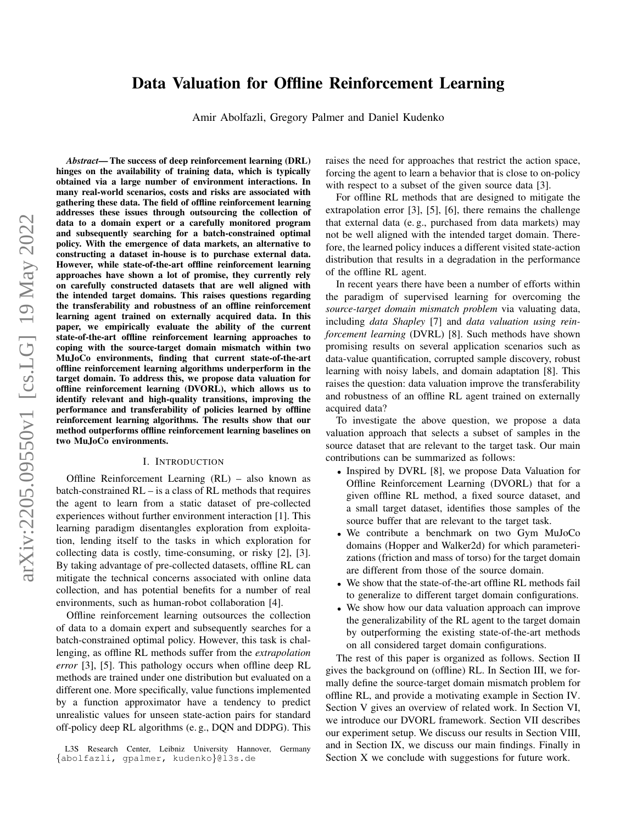# Data Valuation for Offline Reinforcement Learning

Amir Abolfazli, Gregory Palmer and Daniel Kudenko

arXiv:2205.09550v1 [cs.LG] 19 May 2022 arXiv:2205.09550v1 [cs.LG] 19 May 2022

*Abstract*— The success of deep reinforcement learning (DRL) hinges on the availability of training data, which is typically obtained via a large number of environment interactions. In many real-world scenarios, costs and risks are associated with gathering these data. The field of offline reinforcement learning addresses these issues through outsourcing the collection of data to a domain expert or a carefully monitored program and subsequently searching for a batch-constrained optimal policy. With the emergence of data markets, an alternative to constructing a dataset in-house is to purchase external data. However, while state-of-the-art offline reinforcement learning approaches have shown a lot of promise, they currently rely on carefully constructed datasets that are well aligned with the intended target domains. This raises questions regarding the transferability and robustness of an offline reinforcement learning agent trained on externally acquired data. In this paper, we empirically evaluate the ability of the current state-of-the-art offline reinforcement learning approaches to coping with the source-target domain mismatch within two MuJoCo environments, finding that current state-of-the-art offline reinforcement learning algorithms underperform in the target domain. To address this, we propose data valuation for offline reinforcement learning (DVORL), which allows us to identify relevant and high-quality transitions, improving the performance and transferability of policies learned by offline reinforcement learning algorithms. The results show that our method outperforms offline reinforcement learning baselines on two MuJoCo environments.

#### I. INTRODUCTION

Offline Reinforcement Learning (RL) – also known as batch-constrained RL – is a class of RL methods that requires the agent to learn from a static dataset of pre-collected experiences without further environment interaction [1]. This learning paradigm disentangles exploration from exploitation, lending itself to the tasks in which exploration for collecting data is costly, time-consuming, or risky [2], [3]. By taking advantage of pre-collected datasets, offline RL can mitigate the technical concerns associated with online data collection, and has potential benefits for a number of real environments, such as human-robot collaboration [4].

Offline reinforcement learning outsources the collection of data to a domain expert and subsequently searches for a batch-constrained optimal policy. However, this task is challenging, as offline RL methods suffer from the *extrapolation error* [3], [5]. This pathology occurs when offline deep RL methods are trained under one distribution but evaluated on a different one. More specifically, value functions implemented by a function approximator have a tendency to predict unrealistic values for unseen state-action pairs for standard off-policy deep RL algorithms (e. g., DQN and DDPG). This

raises the need for approaches that restrict the action space, forcing the agent to learn a behavior that is close to on-policy with respect to a subset of the given source data [3].

For offline RL methods that are designed to mitigate the extrapolation error [3], [5], [6], there remains the challenge that external data (e. g., purchased from data markets) may not be well aligned with the intended target domain. Therefore, the learned policy induces a different visited state-action distribution that results in a degradation in the performance of the offline RL agent.

In recent years there have been a number of efforts within the paradigm of supervised learning for overcoming the *source-target domain mismatch problem* via valuating data, including *data Shapley* [7] and *data valuation using reinforcement learning* (DVRL) [8]. Such methods have shown promising results on several application scenarios such as data-value quantification, corrupted sample discovery, robust learning with noisy labels, and domain adaptation [8]. This raises the question: data valuation improve the transferability and robustness of an offline RL agent trained on externally acquired data?

To investigate the above question, we propose a data valuation approach that selects a subset of samples in the source dataset that are relevant to the target task. Our main contributions can be summarized as follows:

- Inspired by DVRL [8], we propose Data Valuation for Offline Reinforcement Learning (DVORL) that for a given offline RL method, a fixed source dataset, and a small target dataset, identifies those samples of the source buffer that are relevant to the target task.
- We contribute a benchmark on two Gym MuJoCo domains (Hopper and Walker2d) for which parameterizations (friction and mass of torso) for the target domain are different from those of the source domain.
- We show that the state-of-the-art offline RL methods fail to generalize to different target domain configurations.
- We show how our data valuation approach can improve the generalizability of the RL agent to the target domain by outperforming the existing state-of-the-art methods on all considered target domain configurations.

The rest of this paper is organized as follows. [Section II](#page-1-0) gives the background on (offline) RL. In [Section III,](#page-2-0) we formally define the source-target domain mismatch problem for offline RL, and provide a motivating example in [Section IV.](#page-2-1) [Section V](#page-2-2) gives an overview of related work. In [Section VI,](#page-3-0) we introduce our DVORL framework. [Section VII](#page-4-0) describes our experiment setup. We discuss our results in [Section VIII,](#page-5-0) and in [Section IX,](#page-6-0) we discuss our main findings. Finally in [Section X](#page-7-0) we conclude with suggestions for future work.

L3S Research Center, Leibniz University Hannover, Germany {abolfazli, gpalmer, kudenko}@l3s.de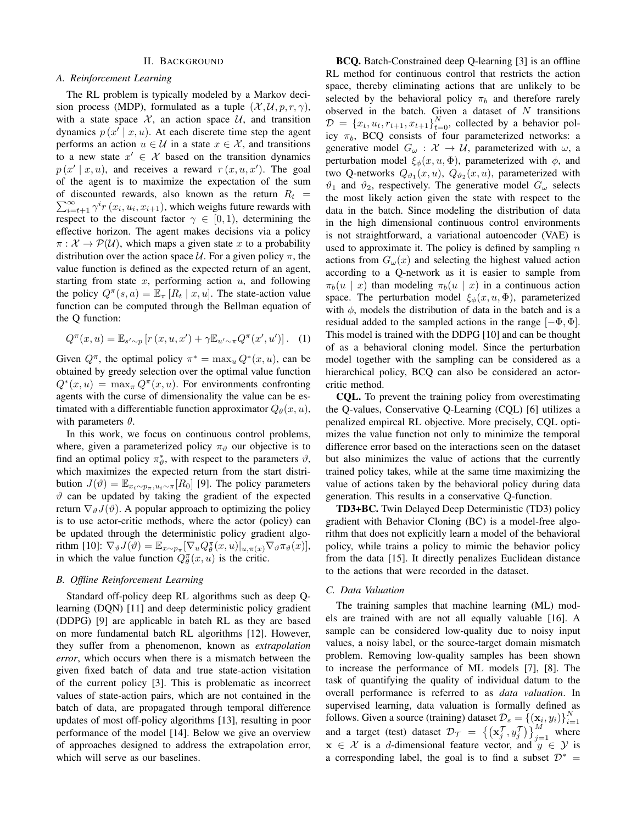#### II. BACKGROUND

#### <span id="page-1-0"></span>*A. Reinforcement Learning*

The RL problem is typically modeled by a Markov decision process (MDP), formulated as a tuple  $(\mathcal{X}, \mathcal{U}, p, r, \gamma)$ , with a state space  $X$ , an action space  $U$ , and transition dynamics  $p(x' | x, u)$ . At each discrete time step the agent performs an action  $u \in \mathcal{U}$  in a state  $x \in \mathcal{X}$ , and transitions to a new state  $x' \in \mathcal{X}$  based on the transition dynamics  $p(x' | x, u)$ , and receives a reward  $r(x, u, x')$ . The goal of the agent is to maximize the expectation of the sum  $\sum_{i=t+1}^{\infty} \gamma^i r(x_i, u_i, x_{i+1})$ , which weighs future rewards with of discounted rewards, also known as the return  $R_t$  = respect to the discount factor  $\gamma \in [0,1)$ , determining the effective horizon. The agent makes decisions via a policy  $\pi: \mathcal{X} \to \mathcal{P}(\mathcal{U})$ , which maps a given state x to a probability distribution over the action space  $U$ . For a given policy  $\pi$ , the value function is defined as the expected return of an agent, starting from state  $x$ , performing action  $u$ , and following the policy  $Q^{\pi}(s, a) = \mathbb{E}_{\pi}[R_t | x, u]$ . The state-action value function can be computed through the Bellman equation of the Q function:

$$
Q^{\pi}(x, u) = \mathbb{E}_{s' \sim p} \left[ r(x, u, x') + \gamma \mathbb{E}_{u' \sim \pi} Q^{\pi}(x', u') \right]. \tag{1}
$$

Given  $Q^{\pi}$ , the optimal policy  $\pi^* = \max_u Q^*(x, u)$ , can be obtained by greedy selection over the optimal value function  $Q^*(x, u) = \max_{\pi} Q^{\pi}(x, u)$ . For environments confronting agents with the curse of dimensionality the value can be estimated with a differentiable function approximator  $Q_{\theta}(x, u)$ , with parameters  $\theta$ .

In this work, we focus on continuous control problems, where, given a parameterized policy  $\pi_{\vartheta}$  our objective is to find an optimal policy  $\pi^*_{\theta}$ , with respect to the parameters  $\vartheta$ , which maximizes the expected return from the start distribution  $J(\vartheta) = \mathbb{E}_{x_i \sim p_\pi, u_i \sim \pi}[R_0]$  [9]. The policy parameters  $\vartheta$  can be updated by taking the gradient of the expected return  $\nabla_{\vartheta} J(\vartheta)$ . A popular approach to optimizing the policy is to use actor-critic methods, where the actor (policy) can be updated through the deterministic policy gradient algorithm [10]:  $\nabla_{\vartheta} J(\vartheta) = \mathbb{E}_{x \sim p_{\pi}} [\nabla_u Q_{\theta}^{\pi}(x, u)|_{u, \pi(x)} \nabla_{\vartheta} \pi_{\vartheta}(x)],$ in which the value function  $Q_{\theta}^{\pi}(x, u)$  is the critic.

## *B. Offline Reinforcement Learning*

Standard off-policy deep RL algorithms such as deep Qlearning (DQN) [11] and deep deterministic policy gradient (DDPG) [9] are applicable in batch RL as they are based on more fundamental batch RL algorithms [12]. However, they suffer from a phenomenon, known as *extrapolation error*, which occurs when there is a mismatch between the given fixed batch of data and true state-action visitation of the current policy [3]. This is problematic as incorrect values of state-action pairs, which are not contained in the batch of data, are propagated through temporal difference updates of most off-policy algorithms [13], resulting in poor performance of the model [14]. Below we give an overview of approaches designed to address the extrapolation error, which will serve as our baselines.

BCQ. Batch-Constrained deep Q-learning [3] is an offline RL method for continuous control that restricts the action space, thereby eliminating actions that are unlikely to be selected by the behavioral policy  $\pi_b$  and therefore rarely observed in the batch. Given a dataset of  $N$  transitions  $\mathcal{D} = \{x_t, u_t, r_{t+1}, x_{t+1}\}_{t=0}^N$ , collected by a behavior policy  $\pi_b$ , BCQ consists of four parameterized networks: a generative model  $G_{\omega} : \mathcal{X} \to \mathcal{U}$ , parameterized with  $\omega$ , a perturbation model  $\xi_{\phi}(x, u, \Phi)$ , parameterized with  $\phi$ , and two Q-networks  $Q_{\vartheta_1}(x, u)$ ,  $Q_{\vartheta_2}(x, u)$ , parameterized with  $\vartheta_1$  and  $\vartheta_2$ , respectively. The generative model  $G_{\omega}$  selects the most likely action given the state with respect to the data in the batch. Since modeling the distribution of data in the high dimensional continuous control environments is not straightforward, a variational autoencoder (VAE) is used to approximate it. The policy is defined by sampling  $n$ actions from  $G_{\omega}(x)$  and selecting the highest valued action according to a Q-network as it is easier to sample from  $\pi_b(u \mid x)$  than modeling  $\pi_b(u \mid x)$  in a continuous action space. The perturbation model  $\xi_{\phi}(x, u, \Phi)$ , parameterized with  $\phi$ , models the distribution of data in the batch and is a residual added to the sampled actions in the range  $[-\Phi, \Phi]$ . This model is trained with the DDPG [10] and can be thought of as a behavioral cloning model. Since the perturbation model together with the sampling can be considered as a hierarchical policy, BCQ can also be considered an actorcritic method.

CQL. To prevent the training policy from overestimating the Q-values, Conservative Q-Learning (CQL) [6] utilizes a penalized empircal RL objective. More precisely, CQL optimizes the value function not only to minimize the temporal difference error based on the interactions seen on the dataset but also minimizes the value of actions that the currently trained policy takes, while at the same time maximizing the value of actions taken by the behavioral policy during data generation. This results in a conservative Q-function.

TD3+BC. Twin Delayed Deep Deterministic (TD3) policy gradient with Behavior Cloning (BC) is a model-free algorithm that does not explicitly learn a model of the behavioral policy, while trains a policy to mimic the behavior policy from the data [15]. It directly penalizes Euclidean distance to the actions that were recorded in the dataset.

## *C. Data Valuation*

The training samples that machine learning (ML) models are trained with are not all equally valuable [16]. A sample can be considered low-quality due to noisy input values, a noisy label, or the source-target domain mismatch problem. Removing low-quality samples has been shown to increase the performance of ML models [7], [8]. The task of quantifying the quality of individual datum to the overall performance is referred to as *data valuation*. In supervised learning, data valuation is formally defined as follows. Given a source (training) dataset  $\mathcal{D}_s = \{(\mathbf{x}_i, y_i)\}_{i=1}^N$ and a target (test) dataset  $\mathcal{D}_{\mathcal{T}} = \left\{ \left( \mathbf{x}_{j}^{\mathcal{T}}, y_{j}^{\mathcal{T}} \right) \right\}_{j=1}^{M}$  where  $x \in \mathcal{X}$  is a d-dimensional feature vector, and  $y \in \mathcal{Y}$  is a corresponding label, the goal is to find a subset  $\mathcal{D}^*$  =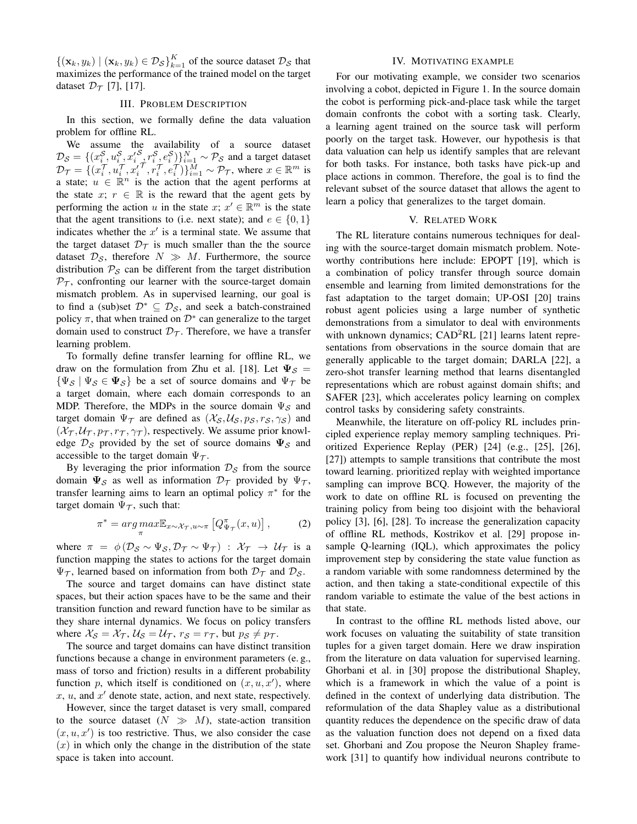$\{(\mathbf{x}_k, y_k) | (\mathbf{x}_k, y_k) \in \mathcal{D}_{\mathcal{S}}\}_{k=1}^K$  of the source dataset  $\mathcal{D}_{\mathcal{S}}$  that maximizes the performance of the trained model on the target dataset  $\mathcal{D}_{\mathcal{T}}$  [7], [17].

#### III. PROBLEM DESCRIPTION

<span id="page-2-0"></span>In this section, we formally define the data valuation problem for offline RL.

We assume the availability of a source dataset  $\mathcal{D}_{\mathcal{S}} = \{(x_i^{\mathcal{S}}, u_i^{\mathcal{S}}, x_i^{\prime \mathcal{S}}, r_i^{\mathcal{S}}, e_i^{\mathcal{S}})\}_{i=1}^N \sim \mathcal{P}_{\mathcal{S}}$  and a target dataset  $\mathcal{D}_{\mathcal{T}} = \{ (x_i^{\mathcal{T}}, u_i^{\mathcal{T}}, x_i^{\mathcal{T}}, \tau_i^{\mathcal{T}}, e_i^{\mathcal{T}}) \}_{i=1}^M \sim \mathcal{P}_{\mathcal{T}}$ , where  $x \in \mathbb{R}^m$  is a state;  $u \in \mathbb{R}^n$  is the action that the agent performs at the state x;  $r \in \mathbb{R}$  is the reward that the agent gets by performing the action u in the state  $x; x' \in \mathbb{R}^m$  is the state that the agent transitions to (i.e. next state); and  $e \in \{0, 1\}$ indicates whether the  $x'$  is a terminal state. We assume that the target dataset  $\mathcal{D}_{\mathcal{T}}$  is much smaller than the the source dataset  $\mathcal{D}_{\mathcal{S}}$ , therefore  $N \gg M$ . Furthermore, the source distribution  $P_S$  can be different from the target distribution  $P<sub>T</sub>$ , confronting our learner with the source-target domain mismatch problem. As in supervised learning, our goal is to find a (sub)set  $\mathcal{D}^* \subseteq \mathcal{D}_{\mathcal{S}}$ , and seek a batch-constrained policy  $\pi$ , that when trained on  $\mathcal{D}^*$  can generalize to the target domain used to construct  $\mathcal{D}_{\mathcal{T}}$ . Therefore, we have a transfer learning problem.

To formally define transfer learning for offline RL, we draw on the formulation from Zhu et al. [18]. Let  $\Psi_{\mathcal{S}} =$  $\{\Psi_{\mathcal{S}} \mid \Psi_{\mathcal{S}} \in \Psi_{\mathcal{S}}\}$  be a set of source domains and  $\Psi_{\mathcal{T}}$  be a target domain, where each domain corresponds to an MDP. Therefore, the MDPs in the source domain  $\Psi_{\mathcal{S}}$  and target domain  $\Psi_{\tau}$  are defined as  $(\mathcal{X}_S, \mathcal{U}_S, p_S, r_S, \gamma_S)$  and  $(\mathcal{X}_{\mathcal{T}}, \mathcal{U}_{\mathcal{T}}, p_{\mathcal{T}}, r_{\mathcal{T}}, \gamma_{\mathcal{T}})$ , respectively. We assume prior knowledge  $\mathcal{D}_{\mathcal{S}}$  provided by the set of source domains  $\Psi_{\mathcal{S}}$  and accessible to the target domain  $\Psi_{\tau}$ .

By leveraging the prior information  $\mathcal{D}_\mathcal{S}$  from the source domain  $\Psi_S$  as well as information  $\mathcal{D}_{\mathcal{T}}$  provided by  $\Psi_{\mathcal{T}}$ , transfer learning aims to learn an optimal policy  $\pi^*$  for the target domain  $\Psi_{\mathcal{T}}$ , such that:

$$
\pi^* = \underset{\pi}{\arg\max} \mathbb{E}_{x \sim \mathcal{X}_{\mathcal{T}}, u \sim \pi} \left[ Q_{\Psi_{\mathcal{T}}}^{\pi}(x, u) \right],\tag{2}
$$

where  $\pi = \phi(\mathcal{D}_S \sim \Psi_S, \mathcal{D}_T \sim \Psi_T) : \mathcal{X}_T \to \mathcal{U}_T$  is a function mapping the states to actions for the target domain  $\Psi_{\mathcal{T}}$ , learned based on information from both  $\mathcal{D}_{\mathcal{T}}$  and  $\mathcal{D}_{\mathcal{S}}$ .

The source and target domains can have distinct state spaces, but their action spaces have to be the same and their transition function and reward function have to be similar as they share internal dynamics. We focus on policy transfers where  $\mathcal{X}_{\mathcal{S}} = \mathcal{X}_{\mathcal{T}}, \mathcal{U}_{\mathcal{S}} = \mathcal{U}_{\mathcal{T}}, r_{\mathcal{S}} = r_{\mathcal{T}},$  but  $p_{\mathcal{S}} \neq p_{\mathcal{T}}$ .

The source and target domains can have distinct transition functions because a change in environment parameters (e. g., mass of torso and friction) results in a different probability function p, which itself is conditioned on  $(x, u, x')$ , where  $x, u$ , and  $x'$  denote state, action, and next state, respectively.

However, since the target dataset is very small, compared to the source dataset  $(N \gg M)$ , state-action transition  $(x, u, x')$  is too restrictive. Thus, we also consider the case  $(x)$  in which only the change in the distribution of the state space is taken into account.

#### IV. MOTIVATING EXAMPLE

<span id="page-2-1"></span>For our motivating example, we consider two scenarios involving a cobot, depicted in [Figure 1.](#page-5-1) In the source domain the cobot is performing pick-and-place task while the target domain confronts the cobot with a sorting task. Clearly, a learning agent trained on the source task will perform poorly on the target task. However, our hypothesis is that data valuation can help us identify samples that are relevant for both tasks. For instance, both tasks have pick-up and place actions in common. Therefore, the goal is to find the relevant subset of the source dataset that allows the agent to learn a policy that generalizes to the target domain.

#### V. RELATED WORK

<span id="page-2-2"></span>The RL literature contains numerous techniques for dealing with the source-target domain mismatch problem. Noteworthy contributions here include: EPOPT [19], which is a combination of policy transfer through source domain ensemble and learning from limited demonstrations for the fast adaptation to the target domain; UP-OSI [20] trains robust agent policies using a large number of synthetic demonstrations from a simulator to deal with environments with unknown dynamics;  $CAD<sup>2</sup>RL$  [21] learns latent representations from observations in the source domain that are generally applicable to the target domain; DARLA [22], a zero-shot transfer learning method that learns disentangled representations which are robust against domain shifts; and SAFER [23], which accelerates policy learning on complex control tasks by considering safety constraints.

Meanwhile, the literature on off-policy RL includes principled experience replay memory sampling techniques. Prioritized Experience Replay (PER) [24] (e.g., [25], [26], [27]) attempts to sample transitions that contribute the most toward learning. prioritized replay with weighted importance sampling can improve BCQ. However, the majority of the work to date on offline RL is focused on preventing the training policy from being too disjoint with the behavioral policy [3], [6], [28]. To increase the generalization capacity of offline RL methods, Kostrikov et al. [29] propose insample Q-learning (IQL), which approximates the policy improvement step by considering the state value function as a random variable with some randomness determined by the action, and then taking a state-conditional expectile of this random variable to estimate the value of the best actions in that state.

In contrast to the offline RL methods listed above, our work focuses on valuating the suitability of state transition tuples for a given target domain. Here we draw inspiration from the literature on data valuation for supervised learning. Ghorbani et al. in [30] propose the distributional Shapley, which is a framework in which the value of a point is defined in the context of underlying data distribution. The reformulation of the data Shapley value as a distributional quantity reduces the dependence on the specific draw of data as the valuation function does not depend on a fixed data set. Ghorbani and Zou propose the Neuron Shapley framework [31] to quantify how individual neurons contribute to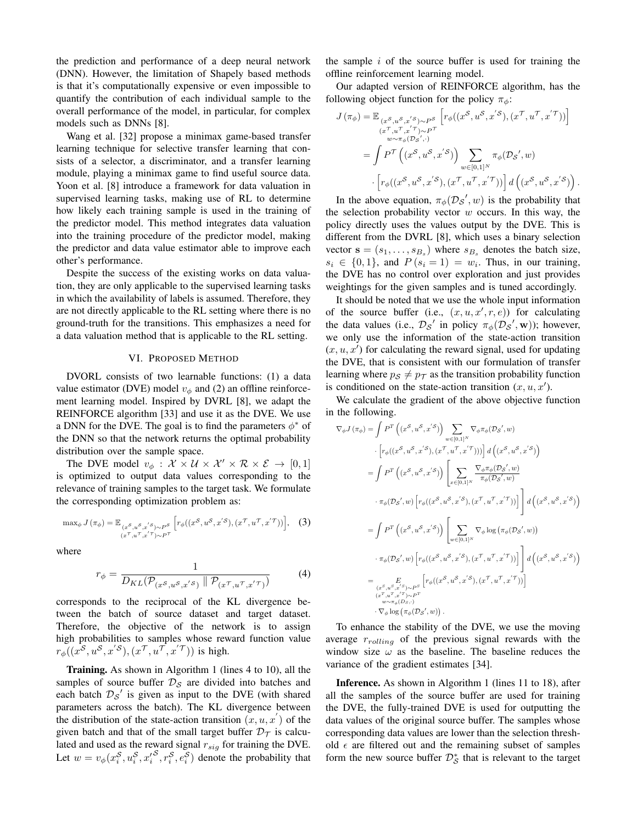the prediction and performance of a deep neural network (DNN). However, the limitation of Shapely based methods is that it's computationally expensive or even impossible to quantify the contribution of each individual sample to the overall performance of the model, in particular, for complex models such as DNNs [8].

Wang et al. [32] propose a minimax game-based transfer learning technique for selective transfer learning that consists of a selector, a discriminator, and a transfer learning module, playing a minimax game to find useful source data. Yoon et al. [8] introduce a framework for data valuation in supervised learning tasks, making use of RL to determine how likely each training sample is used in the training of the predictor model. This method integrates data valuation into the training procedure of the predictor model, making the predictor and data value estimator able to improve each other's performance.

Despite the success of the existing works on data valuation, they are only applicable to the supervised learning tasks in which the availability of labels is assumed. Therefore, they are not directly applicable to the RL setting where there is no ground-truth for the transitions. This emphasizes a need for a data valuation method that is applicable to the RL setting.

#### VI. PROPOSED METHOD

<span id="page-3-0"></span>DVORL consists of two learnable functions: (1) a data value estimator (DVE) model  $v_{\phi}$  and (2) an offline reinforcement learning model. Inspired by DVRL [8], we adapt the REINFORCE algorithm [33] and use it as the DVE. We use a DNN for the DVE. The goal is to find the parameters  $\phi^*$  of the DNN so that the network returns the optimal probability distribution over the sample space.

The DVE model  $v_{\phi}: \mathcal{X} \times \mathcal{U} \times \mathcal{X}' \times \mathcal{R} \times \mathcal{E} \rightarrow [0, 1]$ is optimized to output data values corresponding to the relevance of training samples to the target task. We formulate the corresponding optimization problem as:

$$
\max_{\phi} J(\pi_{\phi}) = \mathbb{E}_{\substack{(x^S, u^S, x'^S) \sim P^S \\ (x^T, u^T, x'^T) \sim P^T}} \left[ r_{\phi}((x^S, u^S, x'^S), (x^T, u^T, x'^T)) \right], \quad (3)
$$

where

$$
r_{\phi} = \frac{1}{D_{KL}(\mathcal{P}_{(x^S, u^S, x^{'S})} \parallel \mathcal{P}_{(x^{\mathcal{T}}, u^{\mathcal{T}}, x^{'\mathcal{T}})})}
$$
(4)

corresponds to the reciprocal of the KL divergence between the batch of source dataset and target dataset. Therefore, the objective of the network is to assign high probabilities to samples whose reward function value  $r_{\phi}((x^{\mathcal{S}}, u^{\mathcal{S}}, x^{'\mathcal{S}}), (x^{\mathcal{T}}, u^{\mathcal{T}}, x^{'\mathcal{T}}))$  is high.

Training. As shown in [Algorithm 1](#page-4-1) (lines 4 to 10), all the samples of source buffer  $\mathcal{D}_\mathcal{S}$  are divided into batches and each batch  $\mathcal{D}_{\mathcal{S}}'$  is given as input to the DVE (with shared parameters across the batch). The KL divergence between the distribution of the state-action transition  $(x, u, x')$  of the given batch and that of the small target buffer  $\mathcal{D}_{\mathcal{T}}$  is calculated and used as the reward signal  $r_{sig}$  for training the DVE. Let  $w = v_{\phi}(x_i^S, u_i^S, x_i'^S, r_i^S, e_i^S)$  denote the probability that

the sample  $i$  of the source buffer is used for training the offline reinforcement learning model.

Our adapted version of REINFORCE algorithm, has the following object function for the policy  $\pi_{\phi}$ :

$$
J(\pi_{\phi}) = \mathbb{E}_{\substack{(x^{\mathcal{S}}, u^{\mathcal{S}}, x'^{\mathcal{S}}) \sim P^{\mathcal{S}} \\ (x^{\mathcal{T}}, u^{\mathcal{T}}, x'^{\mathcal{T}}) \sim P^{\mathcal{T}} \\ w \sim \pi_{\phi}(\mathcal{D}s', \cdot)}} \left[ r_{\phi}((x^{\mathcal{S}}, u^{\mathcal{S}}, x'^{\mathcal{S}}), (x^{\mathcal{T}}, u^{\mathcal{T}}, x'^{\mathcal{T}})) \right]
$$

$$
= \int P^{\mathcal{T}} \left( (x^{\mathcal{S}}, u^{\mathcal{S}}, x'^{\mathcal{S}}) \right) \sum_{w \in [0,1]^N} \pi_{\phi}(\mathcal{D}s', w)
$$

$$
\cdot \left[ r_{\phi}((x^{\mathcal{S}}, u^{\mathcal{S}}, x'^{\mathcal{S}}), (x^{\mathcal{T}}, u^{\mathcal{T}}, x'^{\mathcal{T}})) \right] d\left( (x^{\mathcal{S}}, u^{\mathcal{S}}, x'^{\mathcal{S}}) \right).
$$

In the above equation,  $\pi_{\phi}(\mathcal{D}_{\mathcal{S}}', w)$  is the probability that the selection probability vector  $w$  occurs. In this way, the policy directly uses the values output by the DVE. This is different from the DVRL [8], which uses a binary selection vector  $\mathbf{s} = (s_1, \dots, s_{B_s})$  where  $s_{B_s}$  denotes the batch size,  $s_i \in \{0, 1\}$ , and  $P(s_i = 1) = w_i$ . Thus, in our training, the DVE has no control over exploration and just provides weightings for the given samples and is tuned accordingly.

It should be noted that we use the whole input information of the source buffer (i.e.,  $(x, u, x', r, e)$ ) for calculating the data values (i.e.,  $\mathcal{D}_\mathcal{S}$  in policy  $\pi_\phi(\mathcal{D}_\mathcal{S}', \mathbf{w})$ ); however, we only use the information of the state-action transition  $(x, u, x')$  for calculating the reward signal, used for updating the DVE, that is consistent with our formulation of transfer learning where  $p_S \neq p_T$  as the transition probability function is conditioned on the state-action transition  $(x, u, x')$ .

We calculate the gradient of the above objective function in the following.

$$
\nabla_{\phi} J(\pi_{\phi}) = \int P^{T} ((x^{S}, u^{S}, x^{'S})) \sum_{w \in [0,1]^{N}} \nabla_{\phi} \pi_{\phi}(\mathcal{D}_{S}', w)
$$
  
\n
$$
\cdot \left[ r_{\phi}((x^{S}, u^{S}, x^{'S}), (x^{T}, u^{T}, x^{'}T))) \right] d((x^{S}, u^{S}, x^{'S}))
$$
  
\n
$$
= \int P^{T} ((x^{S}, u^{S}, x^{'S})) \left[ \sum_{x \in [0,1]^{N}} \frac{\nabla_{\phi} \pi_{\phi}(\mathcal{D}_{S}', w)}{\pi_{\phi}(\mathcal{D}_{S}', w)} \right.
$$
  
\n
$$
\cdot \pi_{\phi}(\mathcal{D}_{S}', w) \left[ r_{\phi}((x^{S}, u^{S}, x^{'}S), (x^{T}, u^{T}, x^{'}T)) \right] d((x^{S}, u^{S}, x^{'}S))
$$
  
\n
$$
= \int P^{T} ((x^{S}, u^{S}, x^{'}S)) \left[ \sum_{w \in [0,1]^{N}} \nabla_{\phi} \log (\pi_{\phi}(\mathcal{D}_{S}', w)) \right.
$$
  
\n
$$
\cdot \pi_{\phi}(\mathcal{D}_{S}', w) \left[ r_{\phi}((x^{S}, u^{S}, x^{'}S), (x^{T}, u^{T}, x^{'}T)) \right] d((x^{S}, u^{S}, x^{'}S))
$$
  
\n
$$
= \sum_{\substack{(x^{S}, u^{S}, x^{'}S) \sim P^{S} \\ w \sim \pi_{\phi}(\mathcal{D}_{S}, y)}} \left[ r_{\phi}((x^{S}, u^{S}, x^{'}S), (x^{T}, u^{T}, x^{'}T)) \right]
$$
  
\n
$$
\cdot \pi_{\phi} \log(\pi_{\phi}(\mathcal{D}_{S}', w)).
$$

To enhance the stability of the DVE, we use the moving average  $r_{rolling}$  of the previous signal rewards with the window size  $\omega$  as the baseline. The baseline reduces the variance of the gradient estimates [34].

Inference. As shown in [Algorithm 1](#page-4-1) (lines 11 to 18), after all the samples of the source buffer are used for training the DVE, the fully-trained DVE is used for outputting the data values of the original source buffer. The samples whose corresponding data values are lower than the selection threshold  $\epsilon$  are filtered out and the remaining subset of samples form the new source buffer  $\mathcal{D}_{\mathcal{S}}^*$  that is relevant to the target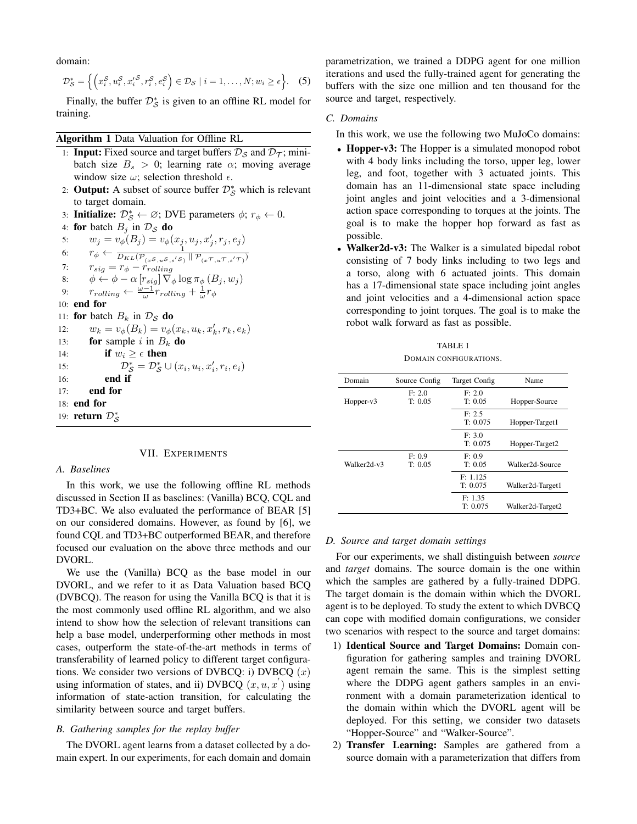domain:

$$
\mathcal{D}_{\mathcal{S}}^* = \left\{ \left( x_i^{\mathcal{S}}, u_i^{\mathcal{S}}, x_i^{\prime \mathcal{S}}, r_i^{\mathcal{S}}, e_i^{\mathcal{S}} \right) \in \mathcal{D}_{\mathcal{S}} \mid i = 1, \ldots, N; w_i \ge \epsilon \right\}.
$$
 (5)

Finally, the buffer  $\mathcal{D}_{\mathcal{S}}^*$  is given to an offline RL model for training.

## <span id="page-4-1"></span>Algorithm 1 Data Valuation for Offline RL

- 1: **Input:** Fixed source and target buffers  $\mathcal{D}_S$  and  $\mathcal{D}_{\tau}$ ; minibatch size  $B_s > 0$ ; learning rate  $\alpha$ ; moving average window size  $\omega$ ; selection threshold  $\epsilon$ .
- 2: **Output:** A subset of source buffer  $\mathcal{D}_{\mathcal{S}}^*$  which is relevant to target domain.
- 3: Initialize:  $\mathcal{D}_{\mathcal{S}}^* \leftarrow \emptyset$ ; DVE parameters  $\phi$ ;  $r_{\phi} \leftarrow 0$ .

4: **for** batch 
$$
B_j
$$
 in  $\mathcal{D}_\mathcal{S}$  **do**

5: 
$$
w_j = v_{\phi}(B_j) = v_{\phi}(x_j, u_j, x'_j, r_j, e_j)
$$
  
6: 
$$
r_{\phi} \leftarrow \frac{1}{D_{KL}(\mathcal{P}_{(x^S, u^S, s'S)} \parallel \mathcal{P}_{(x^T, u^T, s'T)})}
$$

7: 
$$
r_{sig} = r_{\phi} - r_{rolling}^{i}
$$
  
8: 
$$
\phi \leftarrow \phi - \alpha [r_{sig}] \nabla_{\phi} \log \pi_{\phi} (B_i, w_i)
$$

9: 
$$
r_{rolling} \leftarrow \frac{\omega - 1}{\omega} r_{rolling} + \frac{1}{\omega} r_{\phi}
$$

10: end for

11: for batch  $B_k$  in  $\mathcal{D}_\mathcal{S}$  do

| 12: | $w_k = v_{\phi}(B_k) = v_{\phi}(x_k, u_k, x'_k, r_k, e_k)$ |
|-----|------------------------------------------------------------|
| 13: | <b>for</b> sample i in $B_k$ <b>do</b>                     |

14: if 
$$
w_i \geq \epsilon
$$
 then

15: 
$$
\mathcal{D}_{\mathcal{S}}^* = \mathcal{D}_{\mathcal{S}}^* \cup (x_i, u_i, x_i', r_i, e_i)
$$

$$
16: \qquad \qquad \textbf{end if}
$$

17: end for

18: end for

19: **return**  $\mathcal{D}^*_{\mathcal{S}}$ 

#### VII. EXPERIMENTS

#### <span id="page-4-0"></span>*A. Baselines*

In this work, we use the following offline RL methods discussed in [Section II](#page-1-0) as baselines: (Vanilla) BCQ, CQL and TD3+BC. We also evaluated the performance of BEAR [5] on our considered domains. However, as found by [6], we found CQL and TD3+BC outperformed BEAR, and therefore focused our evaluation on the above three methods and our DVORL.

We use the (Vanilla) BCQ as the base model in our DVORL, and we refer to it as Data Valuation based BCQ (DVBCQ). The reason for using the Vanilla BCQ is that it is the most commonly used offline RL algorithm, and we also intend to show how the selection of relevant transitions can help a base model, underperforming other methods in most cases, outperform the state-of-the-art methods in terms of transferability of learned policy to different target configurations. We consider two versions of DVBCQ: i) DVBCQ  $(x)$ using information of states, and ii) DVBCQ  $(x, u, x')$  using information of state-action transition, for calculating the similarity between source and target buffers.

## *B. Gathering samples for the replay buffer*

The DVORL agent learns from a dataset collected by a domain expert. In our experiments, for each domain and domain parametrization, we trained a DDPG agent for one million iterations and used the fully-trained agent for generating the buffers with the size one million and ten thousand for the source and target, respectively.

## *C. Domains*

- In this work, we use the following two MuJoCo domains:
- Hopper-v3: The Hopper is a simulated monopod robot with 4 body links including the torso, upper leg, lower leg, and foot, together with 3 actuated joints. This domain has an 11-dimensional state space including joint angles and joint velocities and a 3-dimensional action space corresponding to torques at the joints. The goal is to make the hopper hop forward as fast as possible.
- Walker2d-v3: The Walker is a simulated bipedal robot consisting of 7 body links including to two legs and a torso, along with 6 actuated joints. This domain has a 17-dimensional state space including joint angles and joint velocities and a 4-dimensional action space corresponding to joint torques. The goal is to make the robot walk forward as fast as possible.

#### TABLE I DOMAIN CONFIGURATIONS.

<span id="page-4-2"></span>

| Domain      | Source Config | Target Config | Name             |
|-------------|---------------|---------------|------------------|
|             | F: 2.0        | F: 2.0        |                  |
| $Hopper-v3$ | T: 0.05       | T: 0.05       | Hopper-Source    |
|             |               | F: 2.5        |                  |
|             |               | T: 0.075      | Hopper-Target1   |
|             |               | F: 3.0        |                  |
|             |               | T: 0.075      | Hopper-Target2   |
|             | F: 0.9        | F: 0.9        |                  |
| Walker2d-v3 | T: 0.05       | T: 0.05       | Walker2d-Source  |
|             |               | F: 1.125      |                  |
|             |               | T: 0.075      | Walker2d-Target1 |
|             |               | F: 1.35       |                  |
|             |               | T: 0.075      | Walker2d-Target2 |

#### <span id="page-4-3"></span>*D. Source and target domain settings*

For our experiments, we shall distinguish between *source* and *target* domains. The source domain is the one within which the samples are gathered by a fully-trained DDPG. The target domain is the domain within which the DVORL agent is to be deployed. To study the extent to which DVBCQ can cope with modified domain configurations, we consider two scenarios with respect to the source and target domains:

- 1) Identical Source and Target Domains: Domain configuration for gathering samples and training DVORL agent remain the same. This is the simplest setting where the DDPG agent gathers samples in an environment with a domain parameterization identical to the domain within which the DVORL agent will be deployed. For this setting, we consider two datasets "Hopper-Source" and "Walker-Source".
- 2) Transfer Learning: Samples are gathered from a source domain with a parameterization that differs from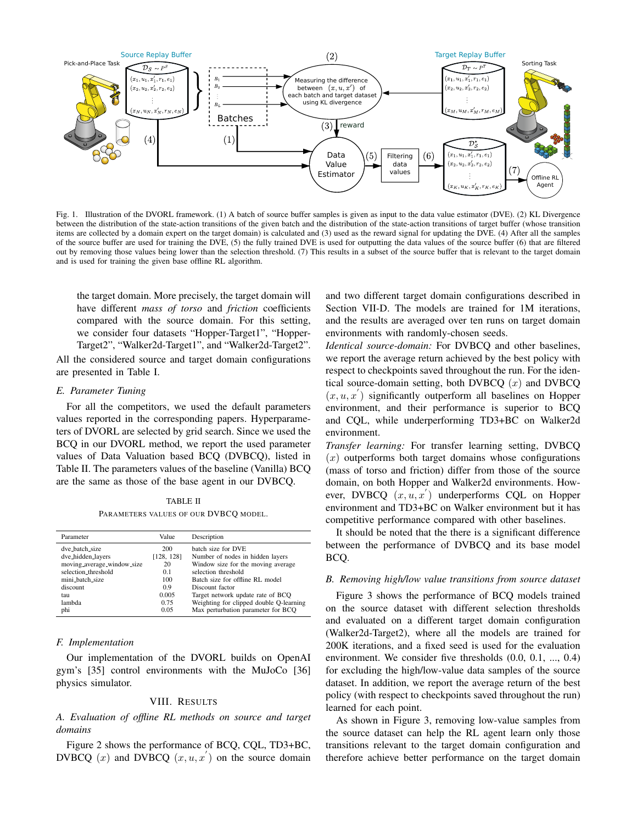

<span id="page-5-1"></span>Fig. 1. Illustration of the DVORL framework. (1) A batch of source buffer samples is given as input to the data value estimator (DVE). (2) KL Divergence between the distribution of the state-action transitions of the given batch and the distribution of the state-action transitions of target buffer (whose transition items are collected by a domain expert on the target domain) is calculated and (3) used as the reward signal for updating the DVE. (4) After all the samples of the source buffer are used for training the DVE, (5) the fully trained DVE is used for outputting the data values of the source buffer (6) that are filtered out by removing those values being lower than the selection threshold. (7) This results in a subset of the source buffer that is relevant to the target domain and is used for training the given base offline RL algorithm.

the target domain. More precisely, the target domain will have different *mass of torso* and *friction* coefficients compared with the source domain. For this setting, we consider four datasets "Hopper-Target1", "Hopper-Target2", "Walker2d-Target1", and "Walker2d-Target2".

All the considered source and target domain configurations are presented in [Table I.](#page-4-2)

## *E. Parameter Tuning*

For all the competitors, we used the default parameters values reported in the corresponding papers. Hyperparameters of DVORL are selected by grid search. Since we used the BCQ in our DVORL method, we report the used parameter values of Data Valuation based BCQ (DVBCQ), listed in [Table II.](#page-5-2) The parameters values of the baseline (Vanilla) BCQ are the same as those of the base agent in our DVBCQ.

TABLE II PARAMETERS VALUES OF OUR DVBCQ MODEL.

<span id="page-5-2"></span>

| Parameter |                            | Value      | Description                             |
|-----------|----------------------------|------------|-----------------------------------------|
|           | dve batch size             | 200        | batch size for DVE                      |
|           | dve_hidden_layers          | [128, 128] | Number of nodes in hidden layers        |
|           | moving_average_window_size | 20         | Window size for the moving average      |
|           | selection_threshold        | 0.1        | selection threshold                     |
|           | mini_batch_size            | 100        | Batch size for offline RL model         |
|           | discount                   | 0.9        | Discount factor                         |
|           | tau                        | 0.005      | Target network update rate of BCO       |
|           | lambda                     | 0.75       | Weighting for clipped double Q-learning |
|           | phi                        | 0.05       | Max perturbation parameter for BCO      |
|           |                            |            |                                         |

#### *F. Implementation*

Our implementation of the DVORL builds on OpenAI gym's [35] control environments with the MuJoCo [36] physics simulator.

## VIII. RESULTS

<span id="page-5-0"></span>*A. Evaluation of offline RL methods on source and target domains*

[Figure 2](#page-6-1) shows the performance of BCQ, CQL, TD3+BC, DVBCQ  $(x)$  and DVBCQ  $(x, u, x')$  on the source domain

and two different target domain configurations described in [Section VII-D.](#page-4-3) The models are trained for 1M iterations, and the results are averaged over ten runs on target domain environments with randomly-chosen seeds.

*Identical source-domain:* For DVBCQ and other baselines, we report the average return achieved by the best policy with respect to checkpoints saved throughout the run. For the identical source-domain setting, both DVBCQ  $(x)$  and DVBCQ  $(x, u, x')$  significantly outperform all baselines on Hopper environment, and their performance is superior to BCQ and CQL, while underperforming TD3+BC on Walker2d environment.

*Transfer learning:* For transfer learning setting, DVBCQ  $(x)$  outperforms both target domains whose configurations (mass of torso and friction) differ from those of the source domain, on both Hopper and Walker2d environments. However, DVBCQ  $(x, u, x')$  underperforms CQL on Hopper environment and TD3+BC on Walker environment but it has competitive performance compared with other baselines.

It should be noted that the there is a significant difference between the performance of DVBCQ and its base model BCQ.

## *B. Removing high/low value transitions from source dataset*

[Figure 3](#page-6-2) shows the performance of BCQ models trained on the source dataset with different selection thresholds and evaluated on a different target domain configuration (Walker2d-Target2), where all the models are trained for 200K iterations, and a fixed seed is used for the evaluation environment. We consider five thresholds  $(0.0, 0.1, ..., 0.4)$ for excluding the high/low-value data samples of the source dataset. In addition, we report the average return of the best policy (with respect to checkpoints saved throughout the run) learned for each point.

As shown in [Figure 3,](#page-6-2) removing low-value samples from the source dataset can help the RL agent learn only those transitions relevant to the target domain configuration and therefore achieve better performance on the target domain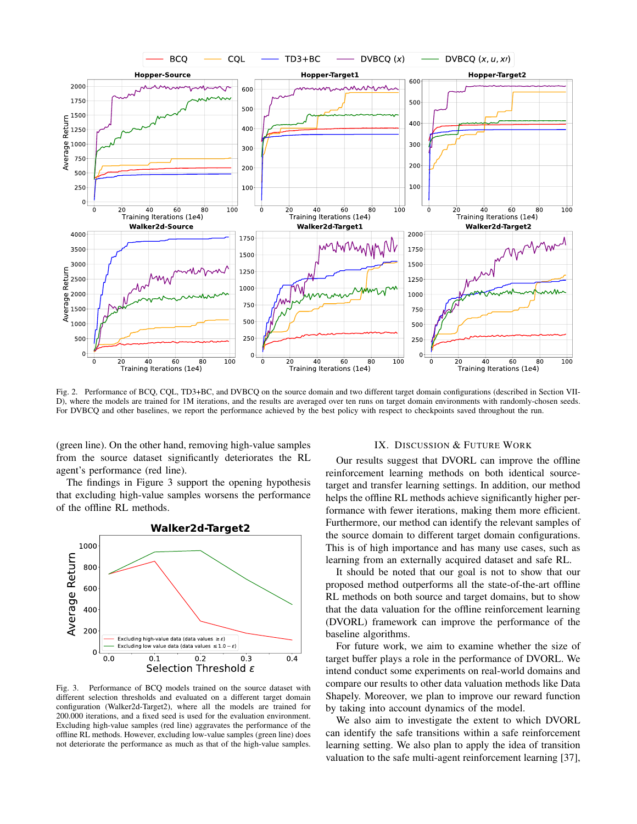

<span id="page-6-1"></span>Fig. 2. Performance of BCQ, CQL, TD3+BC, and DVBCQ on the source domain and two different target domain configurations (described in [Section VII-](#page-4-3)[D\)](#page-4-3), where the models are trained for 1M iterations, and the results are averaged over ten runs on target domain environments with randomly-chosen seeds. For DVBCQ and other baselines, we report the performance achieved by the best policy with respect to checkpoints saved throughout the run.

(green line). On the other hand, removing high-value samples from the source dataset significantly deteriorates the RL agent's performance (red line).

The findings in [Figure 3](#page-6-2) support the opening hypothesis that excluding high-value samples worsens the performance of the offline RL methods.



<span id="page-6-2"></span>Fig. 3. Performance of BCQ models trained on the source dataset with different selection thresholds and evaluated on a different target domain configuration (Walker2d-Target2), where all the models are trained for 200.000 iterations, and a fixed seed is used for the evaluation environment. Excluding high-value samples (red line) aggravates the performance of the offline RL methods. However, excluding low-value samples (green line) does not deteriorate the performance as much as that of the high-value samples.

## IX. DISCUSSION & FUTURE WORK

<span id="page-6-0"></span>Our results suggest that DVORL can improve the offline reinforcement learning methods on both identical sourcetarget and transfer learning settings. In addition, our method helps the offline RL methods achieve significantly higher performance with fewer iterations, making them more efficient. Furthermore, our method can identify the relevant samples of the source domain to different target domain configurations. This is of high importance and has many use cases, such as learning from an externally acquired dataset and safe RL.

It should be noted that our goal is not to show that our proposed method outperforms all the state-of-the-art offline RL methods on both source and target domains, but to show that the data valuation for the offline reinforcement learning (DVORL) framework can improve the performance of the baseline algorithms.

For future work, we aim to examine whether the size of target buffer plays a role in the performance of DVORL. We intend conduct some experiments on real-world domains and compare our results to other data valuation methods like Data Shapely. Moreover, we plan to improve our reward function by taking into account dynamics of the model.

We also aim to investigate the extent to which DVORL can identify the safe transitions within a safe reinforcement learning setting. We also plan to apply the idea of transition valuation to the safe multi-agent reinforcement learning [37],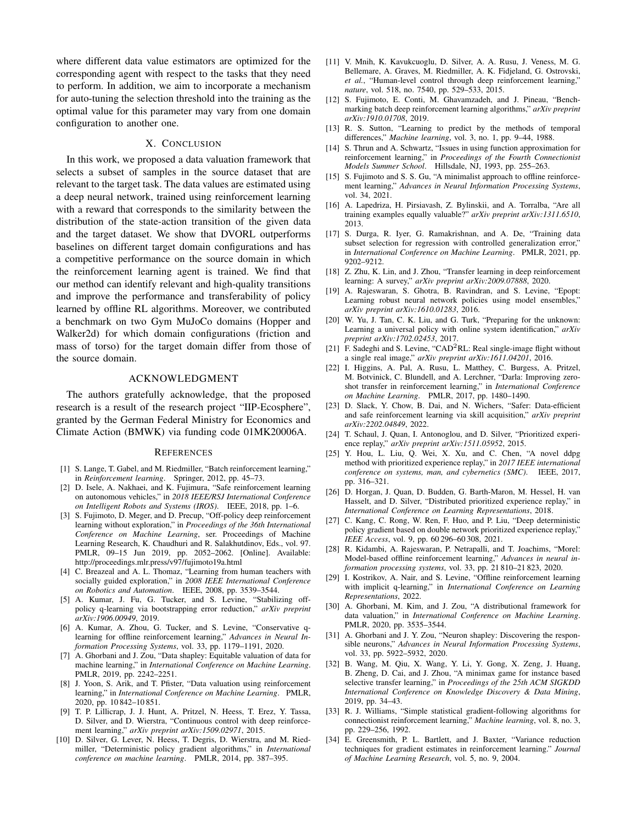where different data value estimators are optimized for the corresponding agent with respect to the tasks that they need to perform. In addition, we aim to incorporate a mechanism for auto-tuning the selection threshold into the training as the optimal value for this parameter may vary from one domain configuration to another one.

#### X. CONCLUSION

<span id="page-7-0"></span>In this work, we proposed a data valuation framework that selects a subset of samples in the source dataset that are relevant to the target task. The data values are estimated using a deep neural network, trained using reinforcement learning with a reward that corresponds to the similarity between the distribution of the state-action transition of the given data and the target dataset. We show that DVORL outperforms baselines on different target domain configurations and has a competitive performance on the source domain in which the reinforcement learning agent is trained. We find that our method can identify relevant and high-quality transitions and improve the performance and transferability of policy learned by offline RL algorithms. Moreover, we contributed a benchmark on two Gym MuJoCo domains (Hopper and Walker2d) for which domain configurations (friction and mass of torso) for the target domain differ from those of the source domain.

## ACKNOWLEDGMENT

The authors gratefully acknowledge, that the proposed research is a result of the research project "IIP-Ecosphere", granted by the German Federal Ministry for Economics and Climate Action (BMWK) via funding code 01MK20006A.

#### **REFERENCES**

- [1] S. Lange, T. Gabel, and M. Riedmiller, "Batch reinforcement learning," in *Reinforcement learning*. Springer, 2012, pp. 45–73.
- [2] D. Isele, A. Nakhaei, and K. Fujimura, "Safe reinforcement learning on autonomous vehicles," in *2018 IEEE/RSJ International Conference on Intelligent Robots and Systems (IROS)*. IEEE, 2018, pp. 1–6.
- [3] S. Fujimoto, D. Meger, and D. Precup, "Off-policy deep reinforcement learning without exploration," in *Proceedings of the 36th International Conference on Machine Learning*, ser. Proceedings of Machine Learning Research, K. Chaudhuri and R. Salakhutdinov, Eds., vol. 97. PMLR, 09–15 Jun 2019, pp. 2052–2062. [Online]. Available: <http://proceedings.mlr.press/v97/fujimoto19a.html>
- [4] C. Breazeal and A. L. Thomaz, "Learning from human teachers with socially guided exploration," in *2008 IEEE International Conference on Robotics and Automation*. IEEE, 2008, pp. 3539–3544.
- [5] A. Kumar, J. Fu, G. Tucker, and S. Levine, "Stabilizing offpolicy q-learning via bootstrapping error reduction," *arXiv preprint arXiv:1906.00949*, 2019.
- [6] A. Kumar, A. Zhou, G. Tucker, and S. Levine, "Conservative qlearning for offline reinforcement learning," *Advances in Neural Information Processing Systems*, vol. 33, pp. 1179–1191, 2020.
- [7] A. Ghorbani and J. Zou, "Data shapley: Equitable valuation of data for machine learning," in *International Conference on Machine Learning*. PMLR, 2019, pp. 2242–2251.
- [8] J. Yoon, S. Arik, and T. Pfister, "Data valuation using reinforcement learning," in *International Conference on Machine Learning*. PMLR, 2020, pp. 10 842–10 851.
- [9] T. P. Lillicrap, J. J. Hunt, A. Pritzel, N. Heess, T. Erez, Y. Tassa, D. Silver, and D. Wierstra, "Continuous control with deep reinforcement learning," *arXiv preprint arXiv:1509.02971*, 2015.
- [10] D. Silver, G. Lever, N. Heess, T. Degris, D. Wierstra, and M. Riedmiller, "Deterministic policy gradient algorithms," in *International conference on machine learning*. PMLR, 2014, pp. 387–395.
- [11] V. Mnih, K. Kavukcuoglu, D. Silver, A. A. Rusu, J. Veness, M. G. Bellemare, A. Graves, M. Riedmiller, A. K. Fidjeland, G. Ostrovski, *et al.*, "Human-level control through deep reinforcement learning," *nature*, vol. 518, no. 7540, pp. 529–533, 2015.
- [12] S. Fujimoto, E. Conti, M. Ghavamzadeh, and J. Pineau, "Benchmarking batch deep reinforcement learning algorithms," *arXiv preprint arXiv:1910.01708*, 2019.
- [13] R. S. Sutton, "Learning to predict by the methods of temporal differences," *Machine learning*, vol. 3, no. 1, pp. 9–44, 1988.
- [14] S. Thrun and A. Schwartz, "Issues in using function approximation for reinforcement learning," in *Proceedings of the Fourth Connectionist Models Summer School*. Hillsdale, NJ, 1993, pp. 255–263.
- [15] S. Fujimoto and S. S. Gu, "A minimalist approach to offline reinforcement learning," *Advances in Neural Information Processing Systems*, vol. 34, 2021.
- [16] A. Lapedriza, H. Pirsiavash, Z. Bylinskii, and A. Torralba, "Are all training examples equally valuable?" *arXiv preprint arXiv:1311.6510*, 2013.
- [17] S. Durga, R. Iyer, G. Ramakrishnan, and A. De, "Training data subset selection for regression with controlled generalization error," in *International Conference on Machine Learning*. PMLR, 2021, pp. 9202–9212.
- [18] Z. Zhu, K. Lin, and J. Zhou, "Transfer learning in deep reinforcement learning: A survey," *arXiv preprint arXiv:2009.07888*, 2020.
- [19] A. Rajeswaran, S. Ghotra, B. Ravindran, and S. Levine, "Epopt: Learning robust neural network policies using model ensembles," *arXiv preprint arXiv:1610.01283*, 2016.
- [20] W. Yu, J. Tan, C. K. Liu, and G. Turk, "Preparing for the unknown: Learning a universal policy with online system identification," *arXiv preprint arXiv:1702.02453*, 2017.
- [21] F. Sadeghi and S. Levine, "CAD<sup>2</sup>RL: Real single-image flight without a single real image," *arXiv preprint arXiv:1611.04201*, 2016.
- [22] I. Higgins, A. Pal, A. Rusu, L. Matthey, C. Burgess, A. Pritzel, M. Botvinick, C. Blundell, and A. Lerchner, "Darla: Improving zeroshot transfer in reinforcement learning," in *International Conference on Machine Learning*. PMLR, 2017, pp. 1480–1490.
- [23] D. Slack, Y. Chow, B. Dai, and N. Wichers, "Safer: Data-efficient and safe reinforcement learning via skill acquisition," *arXiv preprint arXiv:2202.04849*, 2022.
- [24] T. Schaul, J. Quan, I. Antonoglou, and D. Silver, "Prioritized experience replay," *arXiv preprint arXiv:1511.05952*, 2015.
- [25] Y. Hou, L. Liu, Q. Wei, X. Xu, and C. Chen, "A novel ddpg method with prioritized experience replay," in *2017 IEEE international conference on systems, man, and cybernetics (SMC)*. IEEE, 2017, pp. 316–321.
- [26] D. Horgan, J. Quan, D. Budden, G. Barth-Maron, M. Hessel, H. van Hasselt, and D. Silver, "Distributed prioritized experience replay," in *International Conference on Learning Representations*, 2018.
- [27] C. Kang, C. Rong, W. Ren, F. Huo, and P. Liu, "Deep deterministic policy gradient based on double network prioritized experience replay," *IEEE Access*, vol. 9, pp. 60 296–60 308, 2021.
- [28] R. Kidambi, A. Rajeswaran, P. Netrapalli, and T. Joachims, "Morel: Model-based offline reinforcement learning," *Advances in neural information processing systems*, vol. 33, pp. 21 810–21 823, 2020.
- [29] I. Kostrikov, A. Nair, and S. Levine, "Offline reinforcement learning with implicit q-learning," in *International Conference on Learning Representations*, 2022.
- [30] A. Ghorbani, M. Kim, and J. Zou, "A distributional framework for data valuation," in *International Conference on Machine Learning*. PMLR, 2020, pp. 3535–3544.
- [31] A. Ghorbani and J. Y. Zou, "Neuron shapley: Discovering the responsible neurons," *Advances in Neural Information Processing Systems*, vol. 33, pp. 5922–5932, 2020.
- [32] B. Wang, M. Qiu, X. Wang, Y. Li, Y. Gong, X. Zeng, J. Huang, B. Zheng, D. Cai, and J. Zhou, "A minimax game for instance based selective transfer learning," in *Proceedings of the 25th ACM SIGKDD International Conference on Knowledge Discovery & Data Mining*, 2019, pp. 34–43.
- [33] R. J. Williams, "Simple statistical gradient-following algorithms for connectionist reinforcement learning," *Machine learning*, vol. 8, no. 3, pp. 229–256, 1992.
- [34] E. Greensmith, P. L. Bartlett, and J. Baxter, "Variance reduction techniques for gradient estimates in reinforcement learning." *Journal of Machine Learning Research*, vol. 5, no. 9, 2004.